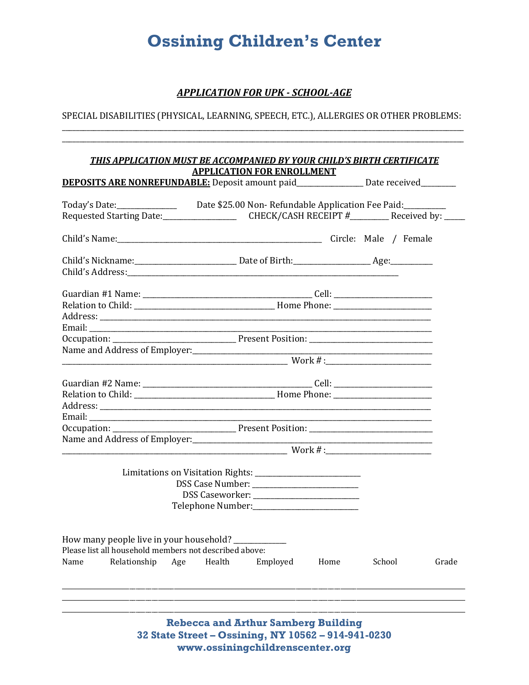# **Ossining Children's Center**

# **APPLICATION FOR UPK - SCHOOL-AGE**

SPECIAL DISABILITIES (PHYSICAL, LEARNING, SPEECH, ETC.), ALLERGIES OR OTHER PROBLEMS:

| <b>THIS APPLICATION MUST BE ACCOMPANIED BY YOUR CHILD'S BIRTH CERTIFICATE</b>                        |        |                                   |                                                                                                                        |        |       |
|------------------------------------------------------------------------------------------------------|--------|-----------------------------------|------------------------------------------------------------------------------------------------------------------------|--------|-------|
| <b>DEPOSITS ARE NONREFUNDABLE:</b> Deposit amount paid__________________ Date received________       |        | <b>APPLICATION FOR ENROLLMENT</b> |                                                                                                                        |        |       |
|                                                                                                      |        |                                   |                                                                                                                        |        |       |
| Today's Date:_______________________Date \$25.00 Non-Refundable Application Fee Paid:_______________ |        |                                   |                                                                                                                        |        |       |
|                                                                                                      |        |                                   |                                                                                                                        |        |       |
|                                                                                                      |        |                                   |                                                                                                                        |        |       |
|                                                                                                      |        |                                   |                                                                                                                        |        |       |
|                                                                                                      |        |                                   |                                                                                                                        |        |       |
|                                                                                                      |        |                                   |                                                                                                                        |        |       |
|                                                                                                      |        |                                   |                                                                                                                        |        |       |
|                                                                                                      |        |                                   |                                                                                                                        |        |       |
|                                                                                                      |        |                                   | <u> 1989 - Johann John Stein, market fan it ferskearre fan it ferskearre fan it ferskearre fan it ferskearre fan i</u> |        |       |
|                                                                                                      |        |                                   |                                                                                                                        |        |       |
|                                                                                                      |        |                                   |                                                                                                                        |        |       |
|                                                                                                      |        |                                   |                                                                                                                        |        |       |
|                                                                                                      |        |                                   |                                                                                                                        |        |       |
|                                                                                                      |        |                                   |                                                                                                                        |        |       |
|                                                                                                      |        |                                   |                                                                                                                        |        |       |
|                                                                                                      |        |                                   |                                                                                                                        |        |       |
|                                                                                                      |        |                                   |                                                                                                                        |        |       |
|                                                                                                      |        |                                   |                                                                                                                        |        |       |
| Name and Address of Employer:<br><u> </u>                                                            |        |                                   |                                                                                                                        |        |       |
|                                                                                                      |        |                                   |                                                                                                                        |        |       |
|                                                                                                      |        |                                   |                                                                                                                        |        |       |
|                                                                                                      |        |                                   |                                                                                                                        |        |       |
|                                                                                                      |        |                                   |                                                                                                                        |        |       |
|                                                                                                      |        |                                   |                                                                                                                        |        |       |
|                                                                                                      |        |                                   |                                                                                                                        |        |       |
|                                                                                                      |        |                                   |                                                                                                                        |        |       |
| How many people live in your household?<br>Please list all household members not described above:    |        |                                   |                                                                                                                        |        |       |
| Relationship                                                                                         | Health |                                   | Home                                                                                                                   |        |       |
| Name                                                                                                 | Age    | Employed                          |                                                                                                                        | School | Grade |
|                                                                                                      |        |                                   |                                                                                                                        |        |       |
|                                                                                                      |        |                                   |                                                                                                                        |        |       |
|                                                                                                      |        |                                   |                                                                                                                        |        |       |

**Rebecca and Arthur Samberg Building** 32 State Street - Ossining, NY 10562 - 914-941-0230 www.ossiningchildrenscenter.org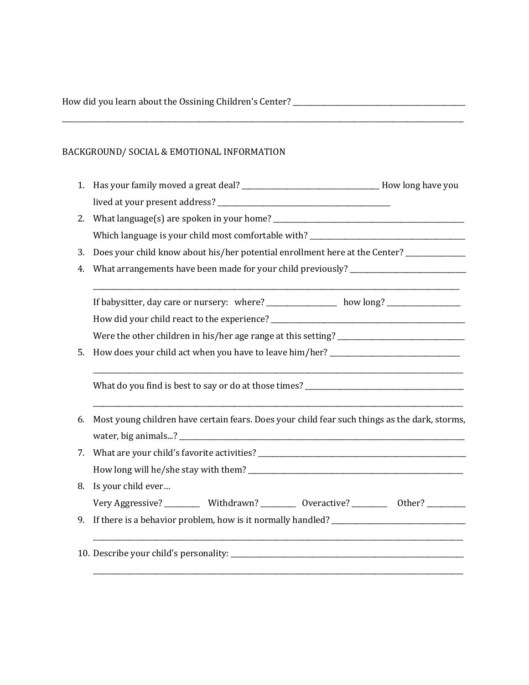|    | BACKGROUND/ SOCIAL & EMOTIONAL INFORMATION                                                    |
|----|-----------------------------------------------------------------------------------------------|
| 1. | Has your family moved a great deal? _______________________________How long have you          |
|    |                                                                                               |
| 2. |                                                                                               |
|    | Which language is your child most comfortable with? ____________________________              |
| 3. | Does your child know about his/her potential enrollment here at the Center? ___________       |
| 4. | What arrangements have been made for your child previously? _____________________             |
|    | If babysitter, day care or nursery: where? _____________ how long? _____________              |
|    |                                                                                               |
|    |                                                                                               |
| 5. | How does your child act when you have to leave him/her? _________________________             |
|    |                                                                                               |
| 6. | Most young children have certain fears. Does your child fear such things as the dark, storms, |
|    |                                                                                               |
| 7. |                                                                                               |
|    | How long will he/she stay with them?                                                          |
|    | 8. Is your child ever                                                                         |
|    | Very Aggressive? ___________ Withdrawn? ___________ Overactive? ___________ Other? __________ |
|    | 9. If there is a behavior problem, how is it normally handled? ________________________       |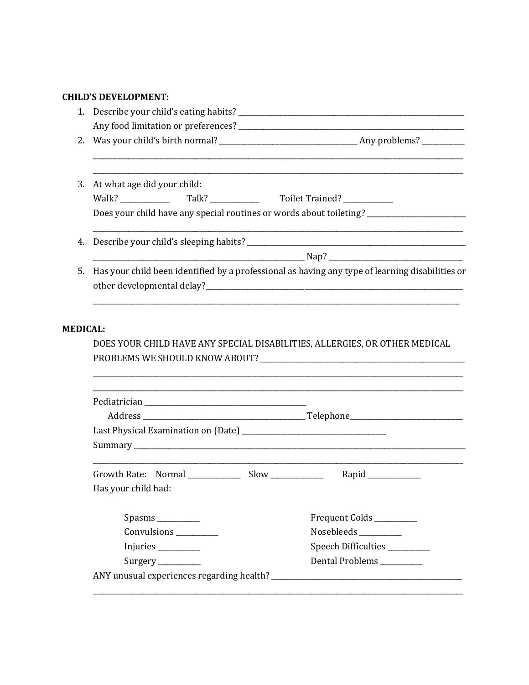# **CHILD'S DEVELOPMENT:**

| 2.              |                             |                                                                                                 |
|-----------------|-----------------------------|-------------------------------------------------------------------------------------------------|
| 3.              | At what age did your child: |                                                                                                 |
|                 |                             |                                                                                                 |
|                 |                             | Does your child have any special routines or words about toileting? __________________          |
| 4.              |                             |                                                                                                 |
|                 |                             |                                                                                                 |
| .5.             |                             | Has your child been identified by a professional as having any type of learning disabilities or |
| <b>MEDICAL:</b> |                             |                                                                                                 |
|                 |                             | DOES YOUR CHILD HAVE ANY SPECIAL DISABILITIES, ALLERGIES, OR OTHER MEDICAL                      |
|                 |                             |                                                                                                 |
|                 |                             |                                                                                                 |
|                 |                             |                                                                                                 |
|                 | Has your child had:         |                                                                                                 |
|                 | Spasms                      | Frequent Colds ________                                                                         |
|                 | Convulsions _________       | Nosebleeds _________                                                                            |
|                 | Injuries                    | Speech Difficulties ________                                                                    |
|                 | Surgery                     | Dental Problems ________                                                                        |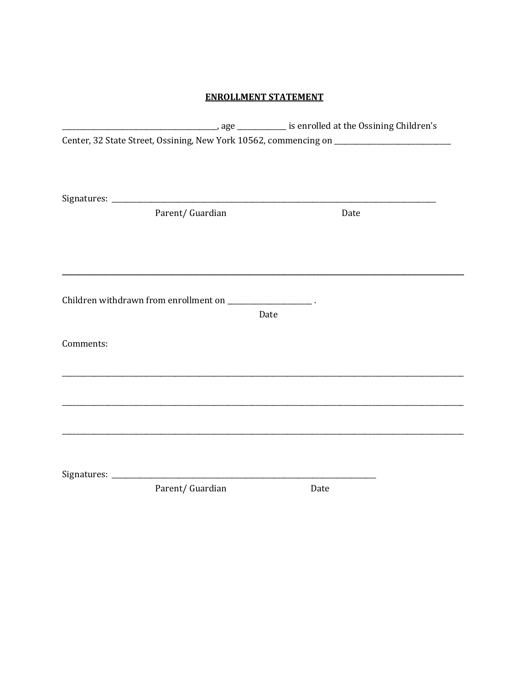# **ENROLLMENT STATEMENT**

|           |                                                              | Center, 32 State Street, Ossining, New York 10562, commencing on ______________________ |
|-----------|--------------------------------------------------------------|-----------------------------------------------------------------------------------------|
|           |                                                              |                                                                                         |
|           |                                                              |                                                                                         |
|           |                                                              |                                                                                         |
|           | Parent/ Guardian                                             | Date                                                                                    |
|           |                                                              |                                                                                         |
|           |                                                              |                                                                                         |
|           |                                                              |                                                                                         |
|           | Children withdrawn from enrollment on _____________________. |                                                                                         |
|           |                                                              | Date                                                                                    |
|           |                                                              |                                                                                         |
| Comments: |                                                              |                                                                                         |
|           |                                                              |                                                                                         |
|           |                                                              |                                                                                         |
|           |                                                              |                                                                                         |
|           |                                                              |                                                                                         |
|           |                                                              |                                                                                         |
|           |                                                              |                                                                                         |
|           |                                                              |                                                                                         |
|           | Parent/ Guardian                                             | Date                                                                                    |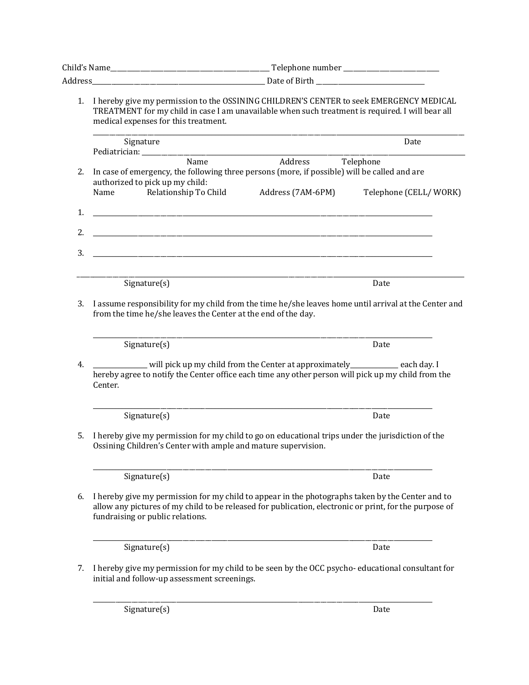|    | 1. I hereby give my permission to the OSSINING CHILDREN'S CENTER to seek EMERGENCY MEDICAL<br>TREATMENT for my child in case I am unavailable when such treatment is required. I will bear all<br>medical expenses for this treatment.         |
|----|------------------------------------------------------------------------------------------------------------------------------------------------------------------------------------------------------------------------------------------------|
|    | Signature<br>Date                                                                                                                                                                                                                              |
|    | Address Telephone<br>Name                                                                                                                                                                                                                      |
| 2. | In case of emergency, the following three persons (more, if possible) will be called and are                                                                                                                                                   |
|    | authorized to pick up my child:<br>Relationship To Child<br>Name<br>Address (7AM-6PM)<br>Telephone (CELL/WORK)                                                                                                                                 |
|    |                                                                                                                                                                                                                                                |
| 1. |                                                                                                                                                                                                                                                |
| 2. | <u> 1989 - Andrea Stadt Britain, amerikansk politiker (d. 1989)</u>                                                                                                                                                                            |
| 3. |                                                                                                                                                                                                                                                |
|    | Signature(s)<br>Date                                                                                                                                                                                                                           |
|    |                                                                                                                                                                                                                                                |
| 3. | I assume responsibility for my child from the time he/she leaves home until arrival at the Center and<br>from the time he/she leaves the Center at the end of the day.                                                                         |
|    | Signature(s)<br>Date                                                                                                                                                                                                                           |
| 4. | ________ will pick up my child from the Center at approximately__________ each day. I<br>hereby agree to notify the Center office each time any other person will pick up my child from the<br>Center.                                         |
|    | Signature(s)<br>Date                                                                                                                                                                                                                           |
| 5. | I hereby give my permission for my child to go on educational trips under the jurisdiction of the<br>Ossining Children's Center with ample and mature supervision.                                                                             |
|    | Signature(s)<br>Date                                                                                                                                                                                                                           |
| 6. | I hereby give my permission for my child to appear in the photographs taken by the Center and to<br>allow any pictures of my child to be released for publication, electronic or print, for the purpose of<br>fundraising or public relations. |
|    | Signature(s)<br>Date                                                                                                                                                                                                                           |
| 7. | I hereby give my permission for my child to be seen by the OCC psycho-educational consultant for<br>initial and follow-up assessment screenings.                                                                                               |
|    | Signature(s)<br>Date                                                                                                                                                                                                                           |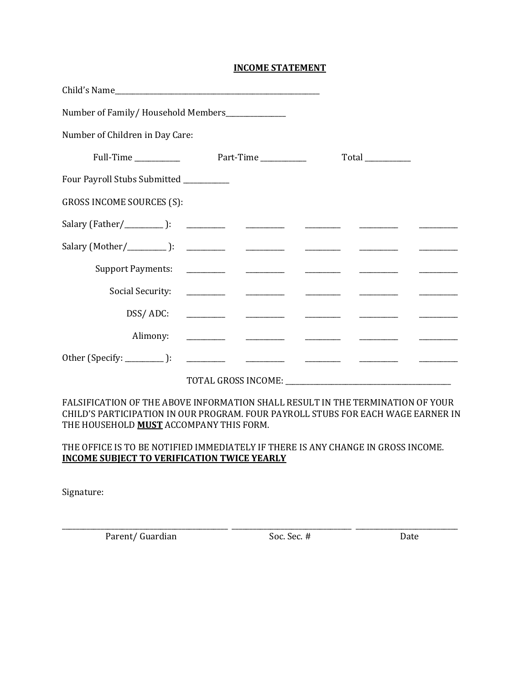# **INCOME STATEMENT**

| Child's Name                                    |                                                                                                                       |  |                                  |  |
|-------------------------------------------------|-----------------------------------------------------------------------------------------------------------------------|--|----------------------------------|--|
| Number of Family/Household Members_____________ |                                                                                                                       |  |                                  |  |
| Number of Children in Day Care:                 |                                                                                                                       |  |                                  |  |
|                                                 |                                                                                                                       |  | $Total$ <sub>_____________</sub> |  |
| Four Payroll Stubs Submitted _________          |                                                                                                                       |  |                                  |  |
| <b>GROSS INCOME SOURCES (S):</b>                |                                                                                                                       |  |                                  |  |
|                                                 |                                                                                                                       |  |                                  |  |
|                                                 |                                                                                                                       |  |                                  |  |
|                                                 |                                                                                                                       |  |                                  |  |
|                                                 |                                                                                                                       |  |                                  |  |
|                                                 |                                                                                                                       |  |                                  |  |
| Alimony:                                        | <u> 1980 - Jan Samuel Barbara, margaret e populari e provincia de la contrada de la contrada de la contrada de la</u> |  |                                  |  |
|                                                 |                                                                                                                       |  |                                  |  |
|                                                 |                                                                                                                       |  |                                  |  |

FALSIFICATION OF THE ABOVE INFORMATION SHALL RESULT IN THE TERMINATION OF YOUR CHILD'S PARTICIPATION IN OUR PROGRAM. FOUR PAYROLL STUBS FOR EACH WAGE EARNER IN THE HOUSEHOLD **MUST** ACCOMPANY THIS FORM.

# THE OFFICE IS TO BE NOTIFIED IMMEDIATELY IF THERE IS ANY CHANGE IN GROSS INCOME. **INCOME SUBJECT TO VERIFICATION TWICE YEARLY**

Signature:

\_\_\_\_\_\_\_\_\_\_\_\_\_\_\_\_\_\_\_\_\_\_\_\_\_\_\_\_\_\_\_\_\_\_\_\_\_\_\_\_\_\_\_\_\_\_\_ \_\_\_\_\_\_\_\_\_\_\_\_\_\_\_\_\_\_\_\_\_\_\_\_\_\_\_\_\_\_\_\_\_\_ \_\_\_\_\_\_\_\_\_\_\_\_\_\_\_\_\_\_\_\_\_\_\_\_\_\_\_\_\_ Parent/ Guardian Soc. Sec. # Date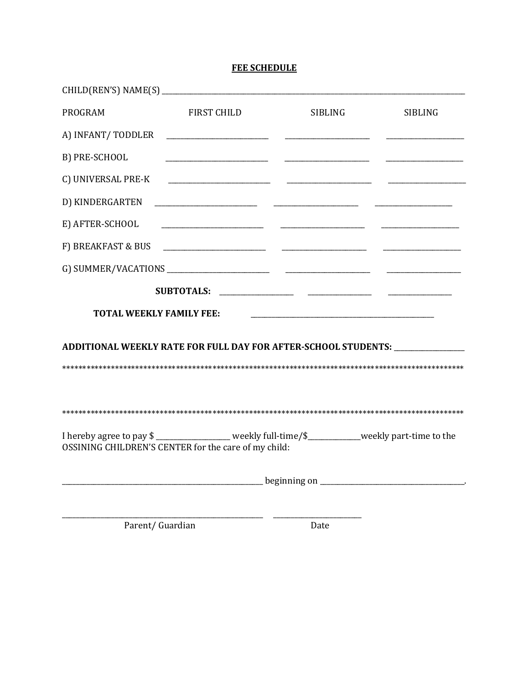# **FEE SCHEDULE**

| PROGRAM                         | <b>FIRST CHILD</b>                                                                                                                                     | <b>SIBLING</b> | <b>SIBLING</b>                                                                                                        |
|---------------------------------|--------------------------------------------------------------------------------------------------------------------------------------------------------|----------------|-----------------------------------------------------------------------------------------------------------------------|
| A) INFANT/ TODDLER              |                                                                                                                                                        |                |                                                                                                                       |
| B) PRE-SCHOOL                   | the control of the control of the control of the control of the control of                                                                             |                |                                                                                                                       |
| C) UNIVERSAL PRE-K              |                                                                                                                                                        |                |                                                                                                                       |
| D) KINDERGARTEN                 |                                                                                                                                                        |                |                                                                                                                       |
| E) AFTER-SCHOOL                 |                                                                                                                                                        |                |                                                                                                                       |
|                                 |                                                                                                                                                        |                |                                                                                                                       |
|                                 |                                                                                                                                                        |                |                                                                                                                       |
|                                 |                                                                                                                                                        |                |                                                                                                                       |
| <b>TOTAL WEEKLY FAMILY FEE:</b> |                                                                                                                                                        |                | <u> 1980 - Johann Barn, mars ann an t-Amhain an t-Amhain an t-Amhain an t-Amhain an t-Amhain an t-Amhain an t-Amh</u> |
|                                 |                                                                                                                                                        |                | ADDITIONAL WEEKLY RATE FOR FULL DAY FOR AFTER-SCHOOL STUDENTS: ________________                                       |
|                                 |                                                                                                                                                        |                |                                                                                                                       |
|                                 |                                                                                                                                                        |                |                                                                                                                       |
|                                 | I hereby agree to pay \$ ________________ weekly full-time/\$__________weekly part-time to the<br>OSSINING CHILDREN'S CENTER for the care of my child: |                |                                                                                                                       |
|                                 |                                                                                                                                                        |                |                                                                                                                       |
|                                 |                                                                                                                                                        |                |                                                                                                                       |

 $\overline{a}$ 

Parent/Guardian

Date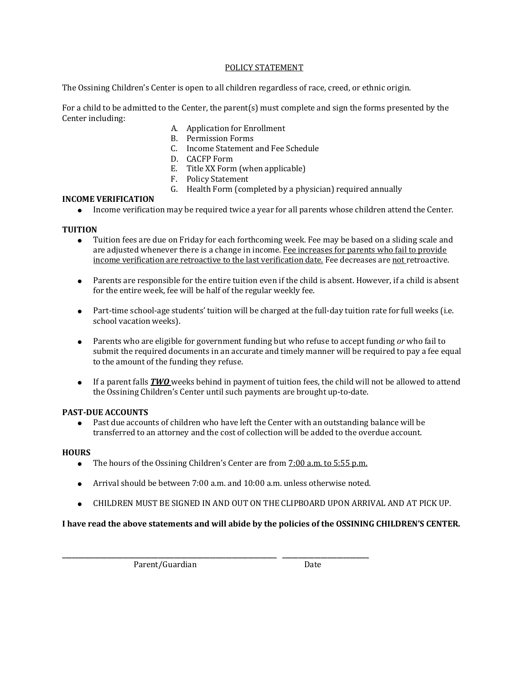#### POLICY STATEMENT

The Ossining Children's Center is open to all children regardless of race, creed, or ethnic origin.

For a child to be admitted to the Center, the parent(s) must complete and sign the forms presented by the Center including:

- A. Application for Enrollment
- B. Permission Forms
- C. Income Statement and Fee Schedule
- D. CACFP Form
- E. Title XX Form (when applicable)
- F. Policy Statement
- G. Health Form (completed by a physician) required annually

# **INCOME VERIFICATION**

● Income verification may be required twice a year for all parents whose children attend the Center.

# **TUITION**

- Tuition fees are due on Friday for each forthcoming week. Fee may be based on a sliding scale and are adjusted whenever there is a change in income. Fee increases for parents who fail to provide income verification are retroactive to the last verification date. Fee decreases are not retroactive.
- Parents are responsible for the entire tuition even if the child is absent. However, if a child is absent for the entire week, fee will be half of the regular weekly fee.
- Part-time school-age students' tuition will be charged at the full-day tuition rate for full weeks (i.e. school vacation weeks).
- Parents who are eligible for government funding but who refuse to accept funding *or* who fail to submit the required documents in an accurate and timely manner will be required to pay a fee equal to the amount of the funding they refuse.
- If a parent falls *TWO* weeks behind in payment of tuition fees, the child will not be allowed to attend the Ossining Children's Center until such payments are brought up-to-date.

# **PAST-DUE ACCOUNTS**

● Past due accounts of children who have left the Center with an outstanding balance will be transferred to an attorney and the cost of collection will be added to the overdue account.

# **HOURS**

- The hours of the Ossining Children's Center are from 7:00 a.m. to 5:55 p.m.
- Arrival should be between 7:00 a.m. and 10:00 a.m. unless otherwise noted.

**\_\_\_\_\_\_\_\_\_\_\_\_\_\_\_\_\_\_\_\_\_\_\_\_\_\_\_\_\_\_\_\_\_\_\_\_\_\_\_\_\_\_\_\_\_\_\_\_\_\_\_\_\_\_\_\_\_\_\_\_\_\_\_\_\_\_\_ \_\_\_\_\_\_\_\_\_\_\_\_\_\_\_\_\_\_\_\_\_\_\_\_\_\_\_**

● CHILDREN MUST BE SIGNED IN AND OUT ON THE CLIPBOARD UPON ARRIVAL AND AT PICK UP.

# **I have read the above statements and will abide by the policies of the OSSINING CHILDREN'S CENTER.**

Parent/Guardian Date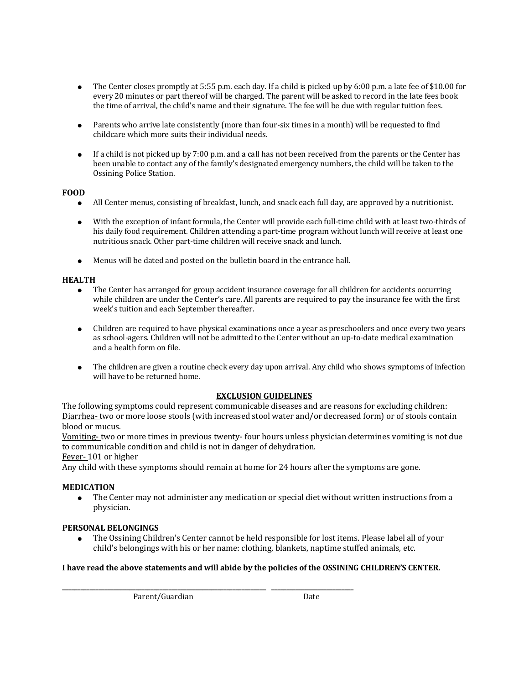- The Center closes promptly at  $5:55$  p.m. each day. If a child is picked up by 6:00 p.m. a late fee of \$10.00 for every 20 minutes or part thereof will be charged. The parent will be asked to record in the late fees book the time of arrival, the child's name and their signature. The fee will be due with regular tuition fees.
- Parents who arrive late consistently (more than four-six times in a month) will be requested to find childcare which more suits their individual needs.
- If a child is not picked up by 7:00 p.m. and a call has not been received from the parents or the Center has been unable to contact any of the family's designated emergency numbers, the child will be taken to the Ossining Police Station.

# **FOOD**

- All Center menus, consisting of breakfast, lunch, and snack each full day, are approved by a nutritionist.
- With the exception of infant formula, the Center will provide each full-time child with at least two-thirds of his daily food requirement. Children attending a part-time program without lunch will receive at least one nutritious snack. Other part-time children will receive snack and lunch.
- Menus will be dated and posted on the bulletin board in the entrance hall.

#### **HEALTH**

- The Center has arranged for group accident insurance coverage for all children for accidents occurring while children are under the Center's care. All parents are required to pay the insurance fee with the first week's tuition and each September thereafter.
- Children are required to have physical examinations once a year as preschoolers and once every two years as school-agers. Children will not be admitted to the Center without an up-to-date medical examination and a health form on file.
- The children are given a routine check every day upon arrival. Any child who shows symptoms of infection will have to be returned home.

#### **EXCLUSION GUIDELINES**

The following symptoms could represent communicable diseases and are reasons for excluding children: Diarrhea- two or more loose stools (with increased stool water and/or decreased form) or of stools contain blood or mucus.

Vomiting- two or more times in previous twenty- four hours unless physician determines vomiting is not due to communicable condition and child is not in danger of dehydration.

Fever- 101 or higher

Any child with these symptoms should remain at home for 24 hours after the symptoms are gone.

# **MEDICATION**

The Center may not administer any medication or special diet without written instructions from a physician.

# **PERSONAL BELONGINGS**

The Ossining Children's Center cannot be held responsible for lost items. Please label all of your child's belongings with his or her name: clothing, blankets, naptime stuffed animals, etc.

#### **I have read the above statements and will abide by the policies of the OSSINING CHILDREN'S CENTER.**

**\_\_\_\_\_\_\_\_\_\_\_\_\_\_\_\_\_\_\_\_\_\_\_\_\_\_\_\_\_\_\_\_\_\_\_\_\_\_\_\_\_\_\_\_\_\_\_\_\_\_\_\_\_\_\_\_\_\_\_\_\_\_\_\_\_\_\_ \_\_\_\_\_\_\_\_\_\_\_\_\_\_\_\_\_\_\_\_\_\_\_\_\_\_\_**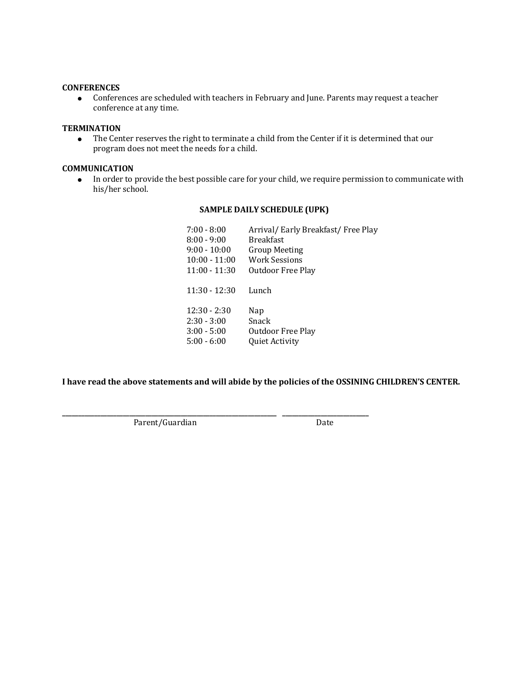# **CONFERENCES**

● Conferences are scheduled with teachers in February and June. Parents may request a teacher conference at any time.

# **TERMINATION**

● The Center reserves the right to terminate a child from the Center if it is determined that our program does not meet the needs for a child.

#### **COMMUNICATION**

● In order to provide the best possible care for your child, we require permission to communicate with his/her school.

#### **SAMPLE DAILY SCHEDULE (UPK)**

| $7:00 - 8:00$   | Arrival/ Early Breakfast/ Free Play |
|-----------------|-------------------------------------|
| $8:00 - 9:00$   | <b>Breakfast</b>                    |
| $9:00 - 10:00$  | Group Meeting                       |
| $10:00 - 11:00$ | Work Sessions                       |
| $11:00 - 11:30$ | Outdoor Free Play                   |
| $11:30 - 12:30$ | Lunch                               |
| $12:30 - 2:30$  | Nap                                 |
| $2:30 - 3:00$   | Snack                               |
| $3:00 - 5:00$   | Outdoor Free Play                   |
| $5:00 - 6:00$   | <b>Quiet Activity</b>               |
|                 |                                     |

**I have read the above statements and will abide by the policies of the OSSINING CHILDREN'S CENTER.**

**\_\_\_\_\_\_\_\_\_\_\_\_\_\_\_\_\_\_\_\_\_\_\_\_\_\_\_\_\_\_\_\_\_\_\_\_\_\_\_\_\_\_\_\_\_\_\_\_\_\_\_\_\_\_\_\_\_\_\_\_\_\_\_\_\_\_\_ \_\_\_\_\_\_\_\_\_\_\_\_\_\_\_\_\_\_\_\_\_\_\_\_\_\_\_**

Parent/Guardian Date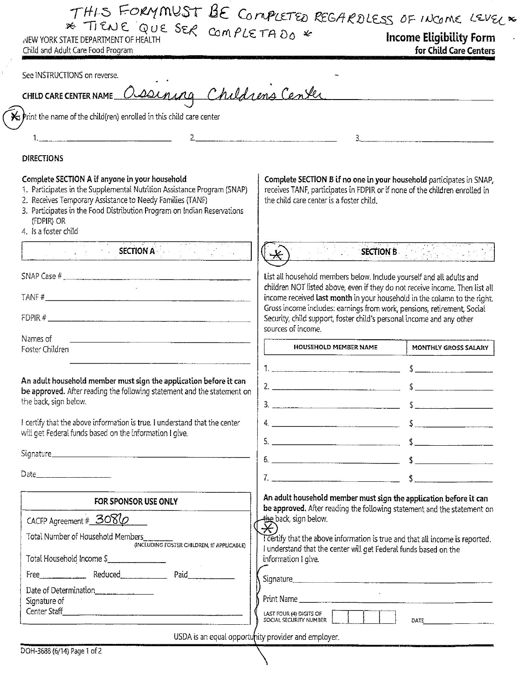THIS FORMMUST BE COMPLETED REGARDLESS OF INCOME LEVEL X \* TIENE QUE SER COMPLETADO \*

NEW YORK STATE DEPARTMENT OF HEALTH Child and Adult Care Food Program

**Income Eligibility Form** for Child Care Centers

Complete SECTION B if no one in your household participates in SNAP,

receives TANF, participates in FDPIR or if none of the children enrolled in

List all household members below. Include yourself and all adults and children NOT listed above, even if they do not receive income. Then list all

Security, child support, foster child's personal income and any other

HOUSEHOLD MEMBER NAME

2.  $\overline{\phantom{a}}$ 

income received last month in your household in the column to the right. Gross income includes: earnings from work, pensions, retirement, Social

 $5.$   $$$ 

 $6.$   $$$ 

 $\frac{1}{2}$ 

**SECTION B SECTION** B

MONTHLY GROSS SALARY

 $\frac{1}{2}$ 

 $\sim$ 

the child care center is a foster child.

 $\ast$ 

sources of income.

See INSTRUCTIONS on reverse.

CHILD CARE CENTER NAME Ossening Childrens Center

 $\star$  Print the name of the child(ren) enrolled in this child care center

# $\overline{2}$

#### **DIRECTIONS**

 $\mathbf{1}$ 

#### Complete SECTION A if anyone in your household

- 1. Participates in the Supplemental Nutrition Assistance Program (SNAP)
- 2. Receives Temporary Assistance to Needy Families (TANF)
- 3. Participates in the Food Distribution Program on Indian Reservations (FDPIR) OR
- 4. Is a foster child

**SECTION A** 

SNAP Case  $#$ 

TANF#

 $FDPIR \#$ 

Names of

Foster Children

An adult household member must sign the application before it can be approved. After reading the following statement and the statement on the back, sign below.

I certify that the above information is true. I understand that the center will get Federal funds based on the information I give.

| FOR SPONSOR USE ONLY                                                                                                                                                                                                                                                                                       | An adult household member must sign the application before it can<br>be approved. After reading the following statement and the statement on                                                                                 |
|------------------------------------------------------------------------------------------------------------------------------------------------------------------------------------------------------------------------------------------------------------------------------------------------------------|------------------------------------------------------------------------------------------------------------------------------------------------------------------------------------------------------------------------------|
| CACFP Agreement # $3080$<br>Total Number of Household Members<br>(INCLUDING FOSTER CHILDREN, IF APPLICABLE)<br>Total Household Income \$                                                                                                                                                                   | $\overleftrightarrow{\mathbf{H}}$ back, sign below.<br>Teertify that the above information is true and that all income is reported.<br>understand that the center will get Federal funds based on the<br>information I give. |
| Paid<br>Reduced<br>Free the contract of the state of the state of the state of the state of the state of the state of the state of the state of the state of the state of the state of the state of the state of the state of the state of the st<br>Date of Determination<br>Signature of<br>Center Staff | Signature<br>Print Name<br>LAST FOUR (4) DIGITS OF                                                                                                                                                                           |
|                                                                                                                                                                                                                                                                                                            | SOCIAL SECURITY NUMBER<br>DATE<br>USDA is an equal opportunity provider and employer.                                                                                                                                        |

DOH-3688 (6/14) Page 1 of 2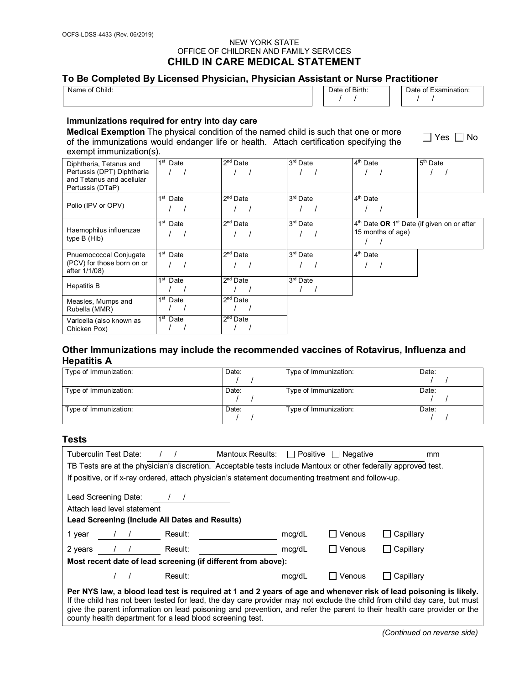#### NEW YORK STATE OFFICE OF CHILDREN AND FAMILY SERVICES **CHILD IN CARE MEDICAL STATEMENT**

# **To Be Completed By Licensed Physician, Physician Assistant or Nurse Practitioner**

| - - - -<br>___<br>___<br>__<br>__<br>___<br>f Child:<br>0t<br>Name. | ___<br>___<br>___<br>___<br>Date of Birth: | .<br>____<br>⊶ Examir<br>Date of<br>ation. |
|---------------------------------------------------------------------|--------------------------------------------|--------------------------------------------|
|                                                                     |                                            |                                            |

#### **Immunizations required for entry into day care**

**Medical Exemption** The physical condition of the named child is such that one or more of the immunizations would endanger life or health. Attach certification specifying the exempt immunization(s).

 $\Box$  Yes  $\Box$  No

| Diphtheria, Tetanus and<br>Pertussis (DPT) Diphtheria<br>and Tetanus and acellular<br>Pertussis (DTaP) | $\sqrt{ }$<br>$1st$ Date | $2nd$ Date           | $3rd$ Date           | $4th$ Date                                                                    | 5 <sup>th</sup> Date |
|--------------------------------------------------------------------------------------------------------|--------------------------|----------------------|----------------------|-------------------------------------------------------------------------------|----------------------|
| Polio (IPV or OPV)                                                                                     | 1 <sup>st</sup> Date     | $2nd$ Date           | 3rd Date             | 4 <sup>th</sup> Date                                                          |                      |
| Haemophilus influenzae<br>type B (Hib)                                                                 | 1 <sup>st</sup> Date     | $2nd$ Date           | 3 <sup>rd</sup> Date | $4th$ Date OR 1 <sup>st</sup> Date (if given on or after<br>15 months of age) |                      |
| Pnuemococcal Conjugate<br>(PCV) for those born on or<br>after 1/1/08)                                  | 1 <sup>st</sup> Date     | $2nd$ Date           | 3 <sup>rd</sup> Date | 4 <sup>th</sup> Date                                                          |                      |
| <b>Hepatitis B</b>                                                                                     | 1 <sup>st</sup> Date     | 2 <sup>nd</sup> Date | 3 <sup>rd</sup> Date |                                                                               |                      |
| Measles, Mumps and<br>Rubella (MMR)                                                                    | 1 <sup>st</sup> Date     | $2nd$ Date           |                      |                                                                               |                      |
| Varicella (also known as<br>Chicken Pox)                                                               | 1 <sup>st</sup> Date     | $2nd$ Date           |                      |                                                                               |                      |

# **Other Immunizations may include the recommended vaccines of Rotavirus, Influenza and Hepatitis A**

| Type of Immunization: | Date: | Type of Immunization: | Date: |
|-----------------------|-------|-----------------------|-------|
| Type of Immunization: | Date: | Type of Immunization: | Date: |
| Type of Immunization: | Date: | Type of Immunization: | Date: |

# **Tests**

| Tuberculin Test Date:<br>Mantoux Results: $\Box$ Positive $\Box$ Negative                                                                                                                                                                                                                                                                                                                                                             |        |            | mm                        |  |
|---------------------------------------------------------------------------------------------------------------------------------------------------------------------------------------------------------------------------------------------------------------------------------------------------------------------------------------------------------------------------------------------------------------------------------------|--------|------------|---------------------------|--|
| TB Tests are at the physician's discretion. Acceptable tests include Mantoux or other federally approved test.                                                                                                                                                                                                                                                                                                                        |        |            |                           |  |
| If positive, or if x-ray ordered, attach physician's statement documenting treatment and follow-up.                                                                                                                                                                                                                                                                                                                                   |        |            |                           |  |
| Lead Screening Date: / /<br>Attach lead level statement<br>Lead Screening (Include All Dates and Results)                                                                                                                                                                                                                                                                                                                             |        |            |                           |  |
| Result:<br>1 year<br>$\frac{1}{2}$                                                                                                                                                                                                                                                                                                                                                                                                    | mcg/dL | Venous     | Capillary                 |  |
| 2 years<br>Result:<br>$\sqrt{1}$                                                                                                                                                                                                                                                                                                                                                                                                      | mcg/dL | Venous     | $\Box$ Capillary          |  |
| Most recent date of lead screening (if different from above):                                                                                                                                                                                                                                                                                                                                                                         |        |            |                           |  |
| Result:                                                                                                                                                                                                                                                                                                                                                                                                                               | mcg/dL | l I Venous | Capillary<br>$\mathbf{I}$ |  |
| Per NYS law, a blood lead test is required at 1 and 2 years of age and whenever risk of lead poisoning is likely.<br>If the child has not been tested for lead, the day care provider may not exclude the child from child day care, but must<br>give the parent information on lead poisoning and prevention, and refer the parent to their health care provider or the<br>county health department for a lead blood screening test. |        |            |                           |  |

*(Continued on reverse side)*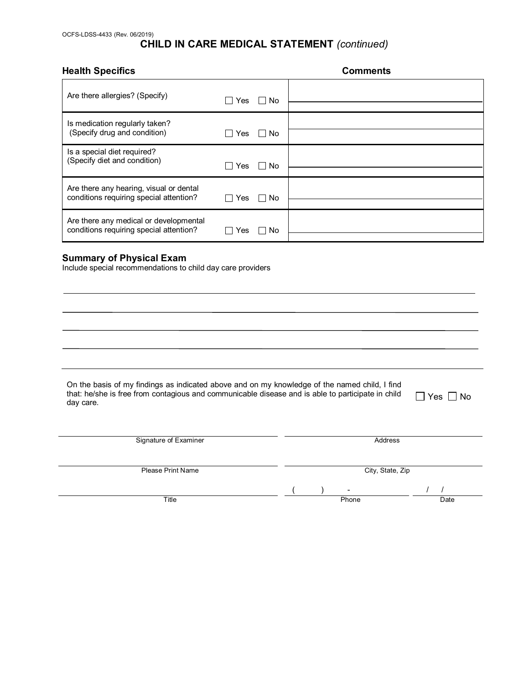# **CHILD IN CARE MEDICAL STATEMENT** *(continued)*

#### **Comments**

| Are there allergies? (Specify)                                                     | Yes<br>$\Box$ No           |  |
|------------------------------------------------------------------------------------|----------------------------|--|
| Is medication regularly taken?<br>(Specify drug and condition)                     | Yes<br>No.<br>$\mathbf{L}$ |  |
| Is a special diet required?<br>(Specify diet and condition)                        | Yes<br>$\Box$ No           |  |
| Are there any hearing, visual or dental<br>conditions requiring special attention? | ∣ I No<br>Yes              |  |
| Are there any medical or developmental<br>conditions requiring special attention?  | Yes<br>No.                 |  |

# **Summary of Physical Exam**

Include special recommendations to child day care providers

| On the basis of my findings as indicated above and on my knowledge of the named child, I find                          |  |
|------------------------------------------------------------------------------------------------------------------------|--|
| that: he/she is free from contagious and communicable disease and is able to participate in child $\Box$ Yes $\Box$ No |  |
| day care.                                                                                                              |  |

| Signature of Examiner    |                         | Address          |
|--------------------------|-------------------------|------------------|
| <b>Please Print Name</b> |                         | City, State, Zip |
| Title                    | $\blacksquare$<br>Phone | Date             |